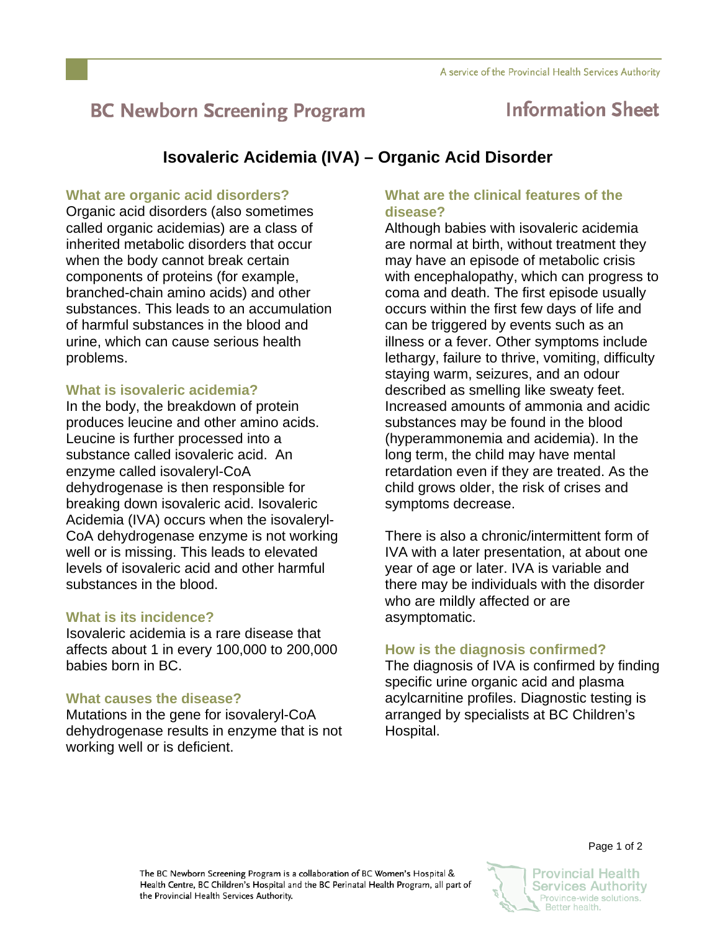# **BC Newborn Screening Program**

## **Information Sheet**

### **Isovaleric Acidemia (IVA) – Organic Acid Disorder**

#### **What are organic acid disorders?**

Organic acid disorders (also sometimes called organic acidemias) are a class of inherited metabolic disorders that occur when the body cannot break certain components of proteins (for example, branched-chain amino acids) and other substances. This leads to an accumulation of harmful substances in the blood and urine, which can cause serious health problems.

#### **What is isovaleric acidemia?**

In the body, the breakdown of protein produces leucine and other amino acids. Leucine is further processed into a substance called isovaleric acid. An enzyme called isovaleryl-CoA dehydrogenase is then responsible for breaking down isovaleric acid. Isovaleric Acidemia (IVA) occurs when the isovaleryl-CoA dehydrogenase enzyme is not working well or is missing. This leads to elevated levels of isovaleric acid and other harmful substances in the blood.

#### **What is its incidence?**

Isovaleric acidemia is a rare disease that affects about 1 in every 100,000 to 200,000 babies born in BC.

#### **What causes the disease?**

Mutations in the gene for isovaleryl-CoA dehydrogenase results in enzyme that is not working well or is deficient.

#### **What are the clinical features of the disease?**

Although babies with isovaleric acidemia are normal at birth, without treatment they may have an episode of metabolic crisis with encephalopathy, which can progress to coma and death. The first episode usually occurs within the first few days of life and can be triggered by events such as an illness or a fever. Other symptoms include lethargy, failure to thrive, vomiting, difficulty staying warm, seizures, and an odour described as smelling like sweaty feet. Increased amounts of ammonia and acidic substances may be found in the blood (hyperammonemia and acidemia). In the long term, the child may have mental retardation even if they are treated. As the child grows older, the risk of crises and symptoms decrease.

There is also a chronic/intermittent form of IVA with a later presentation, at about one year of age or later. IVA is variable and there may be individuals with the disorder who are mildly affected or are asymptomatic.

#### **How is the diagnosis confirmed?**

The diagnosis of IVA is confirmed by finding specific urine organic acid and plasma acylcarnitine profiles. Diagnostic testing is arranged by specialists at BC Children's Hospital.